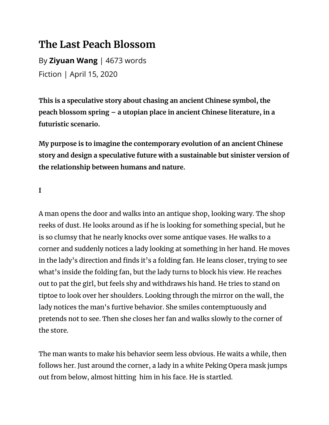## **The Last Peach Blossom**

By **Ziyuan Wang** | 4673 words Fiction | April 15, 2020

**This is a speculative story about chasing an ancient Chinese symbol, the peach blossom spring – a utopian place in ancient Chinese literature, in a futuristic scenario.**

**My purpose is to imagine the contemporary evolution of an ancient Chinese story and design a speculative future with a sustainable but sinister version of the relationship between humans and nature.**

**I**

A man opens the door and walks into an antique shop, looking wary. The shop reeks of dust. He looks around as if he is looking for something special, but he is so clumsy that he nearly knocks over some antique vases. He walks to a corner and suddenly notices a lady looking at something in her hand. He moves in the lady's direction and finds it's a folding fan. He leans closer, trying to see what's inside the folding fan, but the lady turns to block his view. He reaches out to pat the girl, but feels shy and withdraws his hand. He tries to stand on tiptoe to look over her shoulders. Looking through the mirror on the wall, the lady notices the man's furtive behavior. She smiles contemptuously and pretends not to see. Then she closes her fan and walks slowly to the corner of the store.

The man wants to make his behavior seem less obvious. He waits a while, then follows her. Just around the corner, a lady in a white Peking Opera mask jumps out from below, almost hitting him in his face. He is startled.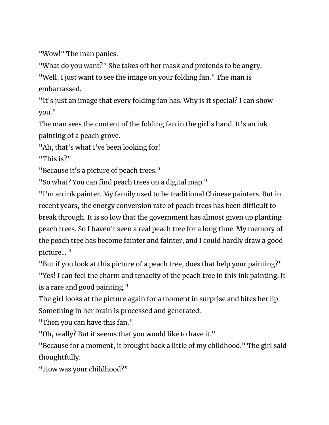"Wow!" The man panics.

"What do you want?" She takes off her mask and pretends to be angry.

"Well, I just want to see the image on your folding fan." The man is embarrassed.

"It's just an image that every folding fan has. Why is it special? I can show you."

The man sees the content of the folding fan in the girl's hand. It's an ink painting of a peach grove.

"Ah, that's what I've been looking for!

"This is?"

"Because it's a picture of peach trees."

"So what? You can find peach trees on a digital map."

"I'm an ink painter. My family used to be traditional Chinese painters. But in recent years, the energy conversion rate of peach trees has been difficult to break through. It is so low that the government has almost given up planting peach trees. So I haven't seen a real peach tree for a long time. My memory of the peach tree has become fainter and fainter, and I could hardly draw a good picture... "

"But if you look at this picture of a peach tree, does that help your painting?"

"Yes! I can feel the charm and tenacity of the peach tree in this ink painting. It is a rare and good painting."

The girl looks at the picture again for a moment in surprise and bites her lip. Something in her brain is processed and generated.

"Then you can have this fan."

"Oh, really? But it seems that you would like to have it."

"Because for a moment, it brought back a little of my childhood." The girl said thoughtfully.

"How was your childhood?"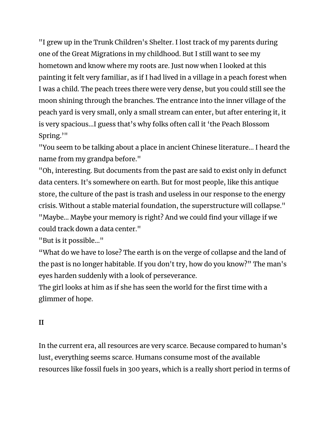"I grew up in the Trunk Children's Shelter. I lost track of my parents during one of the Great Migrations in my childhood. But I still want to see my hometown and know where my roots are. Just now when I looked at this painting it felt very familiar, as if I had lived in a village in a peach forest when I was a child. The peach trees there were very dense, but you could still see the moon shining through the branches. The entrance into the inner village of the peach yard is very small, only a small stream can enter, but after entering it, it is very spacious...I guess that's why folks often call it 'the Peach Blossom Spring.'"

"You seem to be talking about a place in ancient Chinese literature... I heard the name from my grandpa before."

"Oh, interesting. But documents from the past are said to exist only in defunct data centers. It's somewhere on earth. But for most people, like this antique store, the culture of the past is trash and useless in our response to the energy crisis. Without a stable material foundation, the superstructure will collapse." "Maybe... Maybe your memory is right? And we could find your village if we could track down a data center."

"But is it possible..."

"What do we have to lose? The earth is on the verge of collapse and the land of the past is no longer habitable. If you don't try, how do you know?" The man's eyes harden suddenly with a look of perseverance.

The girl looks at him as if she has seen the world for the first time with a glimmer of hope.

#### **II**

In the current era, all resources are very scarce. Because compared to human's lust, everything seems scarce. Humans consume most of the available resources like fossil fuels in 300 years, which is a really short period in terms of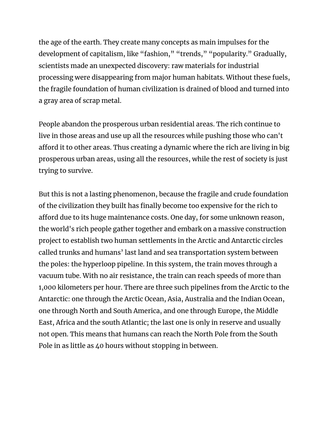the age of the earth. They create many concepts as main impulses for the development of capitalism, like "fashion," "trends," "popularity." Gradually, scientists made an unexpected discovery: raw materials for industrial processing were disappearing from major human habitats. Without these fuels, the fragile foundation of human civilization is drained of blood and turned into a gray area of scrap metal.

People abandon the prosperous urban residential areas. The rich continue to live in those areas and use up all the resources while pushing those who can't afford it to other areas. Thus creating a dynamic where the rich are living in big prosperous urban areas, using all the resources, while the rest of society is just trying to survive.

But this is not a lasting phenomenon, because the fragile and crude foundation of the civilization they built has finally become too expensive for the rich to afford due to its huge maintenance costs. One day, for some unknown reason, the world's rich people gather together and embark on a massive construction project to establish two human settlements in the Arctic and Antarctic circles called trunks and humans' last land and sea transportation system between the poles: the hyperloop pipeline. In this system, the train moves through a vacuum tube. With no air resistance, the train can reach speeds of more than 1,000 kilometers per hour. There are three such pipelines from the Arctic to the Antarctic: one through the Arctic Ocean, Asia, Australia and the Indian Ocean, one through North and South America, and one through Europe, the Middle East, Africa and the south Atlantic; the last one is only in reserve and usually not open. This means that humans can reach the North Pole from the South Pole in as little as 40 hours without stopping in between.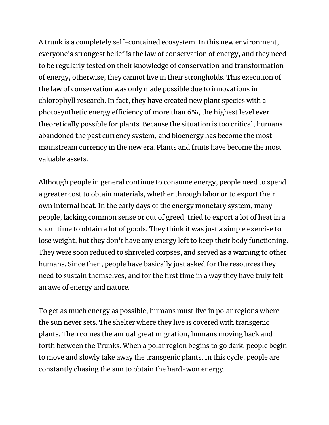A trunk is a completely self-contained ecosystem. In this new environment, everyone's strongest belief is the law of conservation of energy, and they need to be regularly tested on their knowledge of conservation and transformation of energy, otherwise, they cannot live in their strongholds. This execution of the law of conservation was only made possible due to innovations in chlorophyll research. In fact, they have created new plant species with a photosynthetic energy efficiency of more than 6%, the highest level ever theoretically possible for plants. Because the situation is too critical, humans abandoned the past currency system, and bioenergy has become the most mainstream currency in the new era. Plants and fruits have become the most valuable assets.

Although people in general continue to consume energy, people need to spend a greater cost to obtain materials, whether through labor or to export their own internal heat. In the early days of the energy monetary system, many people, lacking common sense or out of greed, tried to export a lot of heat in a short time to obtain a lot of goods. They think it was just a simple exercise to lose weight, but they don't have any energy left to keep their body functioning. They were soon reduced to shriveled corpses, and served as a warning to other humans. Since then, people have basically just asked for the resources they need to sustain themselves, and for the first time in a way they have truly felt an awe of energy and nature.

To get as much energy as possible, humans must live in polar regions where the sun never sets. The shelter where they live is covered with transgenic plants. Then comes the annual great migration, humans moving back and forth between the Trunks. When a polar region begins to go dark, people begin to move and slowly take away the transgenic plants. In this cycle, people are constantly chasing the sun to obtain the hard-won energy.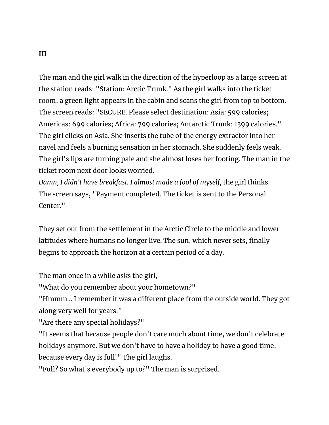The man and the girl walk in the direction of the hyperloop as a large screen at the station reads: "Station: Arctic Trunk." As the girl walks into the ticket room, a green light appears in the cabin and scans the girl from top to bottom. The screen reads: "SECURE. Please select destination: Asia: 599 calories; Americas: 699 calories; Africa: 799 calories; Antarctic Trunk: 1399 calories." The girl clicks on Asia. She inserts the tube of the energy extractor into her navel and feels a burning sensation in her stomach. She suddenly feels weak. The girl's lips are turning pale and she almost loses her footing. The man in the ticket room next door looks worried.

*Damn, I didn't have breakfast. I almost made a fool of myself,* the girl thinks. The screen says, "Payment completed. The ticket is sent to the Personal Center."

They set out from the settlement in the Arctic Circle to the middle and lower latitudes where humans no longer live. The sun, which never sets, finally begins to approach the horizon at a certain period of a day.

The man once in a while asks the girl,

"What do you remember about your hometown?"

"Hmmm... I remember it was a different place from the outside world. They got along very well for years."

"Are there any special holidays?"

"It seems that because people don't care much about time, we don't celebrate holidays anymore. But we don't have to have a holiday to have a good time, because every day is full!" The girl laughs.

"Full? So what's everybody up to?" The man is surprised.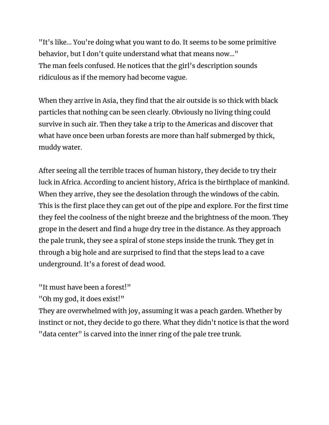"It's like... You're doing what you want to do. It seems to be some primitive behavior, but I don't quite understand what that means now..." The man feels confused. He notices that the girl's description sounds ridiculous as if the memory had become vague.

When they arrive in Asia, they find that the air outside is so thick with black particles that nothing can be seen clearly. Obviously no living thing could survive in such air. Then they take a trip to the Americas and discover that what have once been urban forests are more than half submerged by thick, muddy water.

After seeing all the terrible traces of human history, they decide to try their luck in Africa. According to ancient history, Africa is the birthplace of mankind. When they arrive, they see the desolation through the windows of the cabin. This is the first place they can get out of the pipe and explore. For the first time they feel the coolness of the night breeze and the brightness of the moon. They grope in the desert and find a huge dry tree in the distance. As they approach the pale trunk, they see a spiral of stone steps inside the trunk. They get in through a big hole and are surprised to find that the steps lead to a cave underground. It's a forest of dead wood.

"It must have been a forest!"

"Oh my god, it does exist!"

They are overwhelmed with joy, assuming it was a peach garden. Whether by instinct or not, they decide to go there. What they didn't notice is that the word "data center" is carved into the inner ring of the pale tree trunk.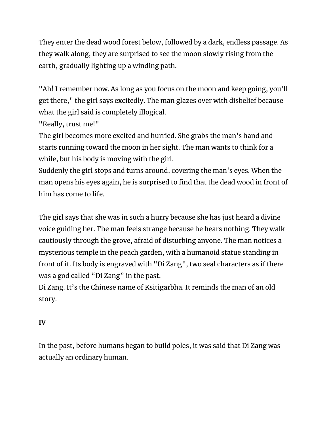They enter the dead wood forest below, followed by a dark, endless passage. As they walk along, they are surprised to see the moon slowly rising from the earth, gradually lighting up a winding path.

"Ah! I remember now. As long as you focus on the moon and keep going, you'll get there," the girl says excitedly. The man glazes over with disbelief because what the girl said is completely illogical.

"Really, trust me!"

The girl becomes more excited and hurried. She grabs the man's hand and starts running toward the moon in her sight. The man wants to think for a while, but his body is moving with the girl.

Suddenly the girl stops and turns around, covering the man's eyes. When the man opens his eyes again, he is surprised to find that the dead wood in front of him has come to life.

The girl says that she was in such a hurry because she has just heard a divine voice guiding her. The man feels strange because he hears nothing. They walk cautiously through the grove, afraid of disturbing anyone. The man notices a mysterious temple in the peach garden, with a humanoid statue standing in front of it. Its body is engraved with "Di Zang", two seal characters as if there was a god called "Di Zang" in the past.

Di Zang. It's the Chinese name of Ksitigarbha. It reminds the man of an old story.

#### **IV**

In the past, before humans began to build poles, it was said that Di Zang was actually an ordinary human.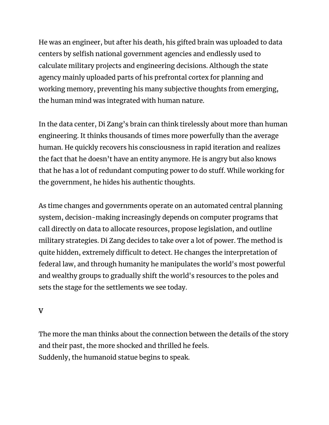He was an engineer, but after his death, his gifted brain was uploaded to data centers by selfish national government agencies and endlessly used to calculate military projects and engineering decisions. Although the state agency mainly uploaded parts of his prefrontal cortex for planning and working memory, preventing his many subjective thoughts from emerging, the human mind was integrated with human nature.

In the data center, Di Zang's brain can think tirelessly about more than human engineering. It thinks thousands of times more powerfully than the average human. He quickly recovers his consciousness in rapid iteration and realizes the fact that he doesn't have an entity anymore. He is angry but also knows that he has a lot of redundant computing power to do stuff. While working for the government, he hides his authentic thoughts.

As time changes and governments operate on an automated central planning system, decision-making increasingly depends on computer programs that call directly on data to allocate resources, propose legislation, and outline military strategies. Di Zang decides to take over a lot of power. The method is quite hidden, extremely difficult to detect. He changes the interpretation of federal law, and through humanity he manipulates the world's most powerful and wealthy groups to gradually shift the world's resources to the poles and sets the stage for the settlements we see today.

#### **V**

The more the man thinks about the connection between the details of the story and their past, the more shocked and thrilled he feels. Suddenly, the humanoid statue begins to speak.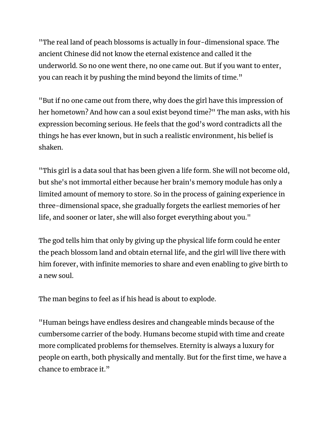"The real land of peach blossoms is actually in four-dimensional space. The ancient Chinese did not know the eternal existence and called it the underworld. So no one went there, no one came out. But if you want to enter, you can reach it by pushing the mind beyond the limits of time."

"But if no one came out from there, why does the girl have this impression of her hometown? And how can a soul exist beyond time?" The man asks, with his expression becoming serious. He feels that the god's word contradicts all the things he has ever known, but in such a realistic environment, his belief is shaken.

"This girl is a data soul that has been given a life form. She will not become old, but she's not immortal either because her brain's memory module has only a limited amount of memory to store. So in the process of gaining experience in three-dimensional space, she gradually forgets the earliest memories of her life, and sooner or later, she will also forget everything about you."

The god tells him that only by giving up the physical life form could he enter the peach blossom land and obtain eternal life, and the girl will live there with him forever, with infinite memories to share and even enabling to give birth to a new soul.

The man begins to feel as if his head is about to explode.

"Human beings have endless desires and changeable minds because of the cumbersome carrier of the body. Humans become stupid with time and create more complicated problems for themselves. Eternity is always a luxury for people on earth, both physically and mentally. But for the first time, we have a chance to embrace it."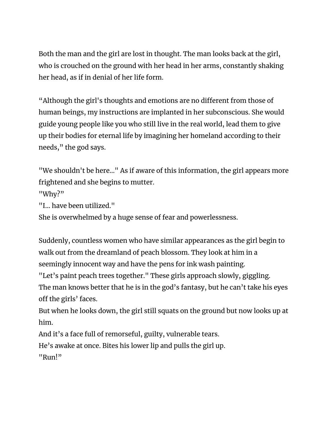Both the man and the girl are lost in thought. The man looks back at the girl, who is crouched on the ground with her head in her arms, constantly shaking her head, as if in denial of her life form.

"Although the girl's thoughts and emotions are no different from those of human beings, my instructions are implanted in her subconscious. She would guide young people like you who still live in the real world, lead them to give up their bodies for eternal life by imagining her homeland according to their needs," the god says.

"We shouldn't be here…" As if aware of this information, the girl appears more frightened and she begins to mutter.

"Why?"

```
"I… have been utilized."
```
She is overwhelmed by a huge sense of fear and powerlessness.

Suddenly, countless women who have similar appearances as the girl begin to walk out from the dreamland of peach blossom. They look at him in a seemingly innocent way and have the pens for ink wash painting.

"Let's paint peach trees together." These girls approach slowly, giggling. The man knows better that he is in the god's fantasy, but he can't take his eyes off the girls' faces.

But when he looks down, the girl still squats on the ground but now looks up at him.

And it's a face full of remorseful, guilty, vulnerable tears.

He's awake at once. Bites his lower lip and pulls the girl up.

"Run!"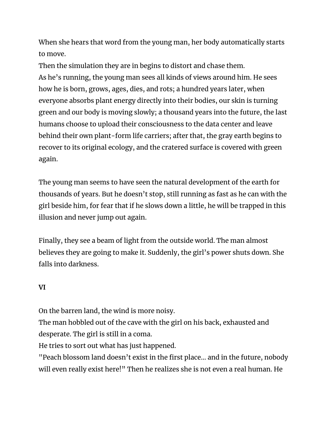When she hears that word from the young man, her body automatically starts to move.

Then the simulation they are in begins to distort and chase them. As he's running, the young man sees all kinds of views around him. He sees how he is born, grows, ages, dies, and rots; a hundred years later, when everyone absorbs plant energy directly into their bodies, our skin is turning green and our body is moving slowly; a thousand years into the future, the last humans choose to upload their consciousness to the data center and leave behind their own plant-form life carriers; after that, the gray earth begins to recover to its original ecology, and the cratered surface is covered with green again.

The young man seems to have seen the natural development of the earth for thousands of years. But he doesn't stop, still running as fast as he can with the girl beside him, for fear that if he slows down a little, he will be trapped in this illusion and never jump out again.

Finally, they see a beam of light from the outside world. The man almost believes they are going to make it. Suddenly, the girl's power shuts down. She falls into darkness.

#### **VI**

On the barren land, the wind is more noisy.

The man hobbled out of the cave with the girl on his back, exhausted and desperate. The girl is still in a coma.

He tries to sort out what has just happened.

"Peach blossom land doesn't exist in the first place... and in the future, nobody will even really exist here!" Then he realizes she is not even a real human. He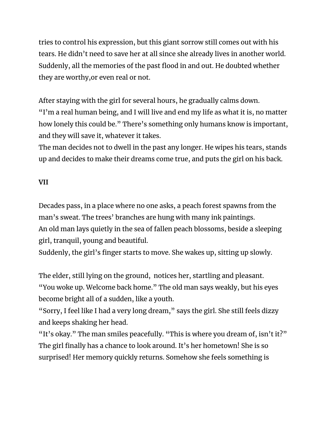tries to control his expression, but this giant sorrow still comes out with his tears. He didn't need to save her at all since she already lives in another world. Suddenly, all the memories of the past flood in and out. He doubted whether they are worthy,or even real or not.

After staying with the girl for several hours, he gradually calms down. "I'm a real human being, and I will live and end my life as what it is, no matter how lonely this could be." There's something only humans know is important, and they will save it, whatever it takes.

The man decides not to dwell in the past any longer. He wipes his tears, stands up and decides to make their dreams come true, and puts the girl on his back.

#### **VII**

Decades pass, in a place where no one asks, a peach forest spawns from the man's sweat. The trees' branches are hung with many ink paintings. An old man lays quietly in the sea of fallen peach blossoms, beside a sleeping girl, tranquil, young and beautiful.

Suddenly, the girl's finger starts to move. She wakes up, sitting up slowly.

The elder, still lying on the ground, notices her, startling and pleasant. "You woke up. Welcome back home." The old man says weakly, but his eyes become bright all of a sudden, like a youth.

"Sorry, I feel like I had a very long dream," says the girl. She still feels dizzy and keeps shaking her head.

"It's okay." The man smiles peacefully. "This is where you dream of, isn't it?" The girl finally has a chance to look around. It's her hometown! She is so surprised! Her memory quickly returns. Somehow she feels something is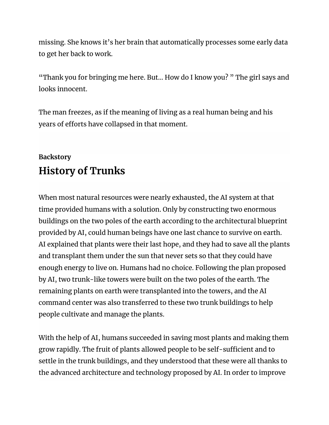missing. She knows it's her brain that automatically processes some early data to get her back to work.

"Thank you for bringing me here. But… How do I know you? " The girl says and looks innocent.

The man freezes, as if the meaning of living as a real human being and his years of efforts have collapsed in that moment.

### **Backstory History of Trunks**

When most natural resources were nearly exhausted, the AI system at that time provided humans with a solution. Only by constructing two enormous buildings on the two poles of the earth according to the architectural blueprint provided by AI, could human beings have one last chance to survive on earth. AI explained that plants were their last hope, and they had to save all the plants and transplant them under the sun that never sets so that they could have enough energy to live on. Humans had no choice. Following the plan proposed by AI, two trunk-like towers were built on the two poles of the earth. The remaining plants on earth were transplanted into the towers, and the AI command center was also transferred to these two trunk buildings to help people cultivate and manage the plants.

With the help of AI, humans succeeded in saving most plants and making them grow rapidly. The fruit of plants allowed people to be self-sufficient and to settle in the trunk buildings, and they understood that these were all thanks to the advanced architecture and technology proposed by AI. In order to improve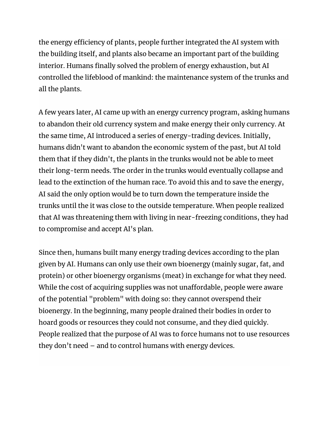the energy efficiency of plants, people further integrated the AI system with the building itself, and plants also became an important part of the building interior. Humans finally solved the problem of energy exhaustion, but AI controlled the lifeblood of mankind: the maintenance system of the trunks and all the plants.

A few years later, AI came up with an energy currency program, asking humans to abandon their old currency system and make energy their only currency. At the same time, AI introduced a series of energy-trading devices. Initially, humans didn't want to abandon the economic system of the past, but AI told them that if they didn't, the plants in the trunks would not be able to meet their long-term needs. The order in the trunks would eventually collapse and lead to the extinction of the human race. To avoid this and to save the energy, AI said the only option would be to turn down the temperature inside the trunks until the it was close to the outside temperature. When people realized that AI was threatening them with living in near-freezing conditions, they had to compromise and accept AI's plan.

Since then, humans built many energy trading devices according to the plan given by AI. Humans can only use their own bioenergy (mainly sugar, fat, and protein) or other bioenergy organisms (meat) in exchange for what they need. While the cost of acquiring supplies was not unaffordable, people were aware of the potential "problem" with doing so: they cannot overspend their bioenergy. In the beginning, many people drained their bodies in order to hoard goods or resources they could not consume, and they died quickly. People realized that the purpose of AI was to force humans not to use resources they don't need – and to control humans with energy devices.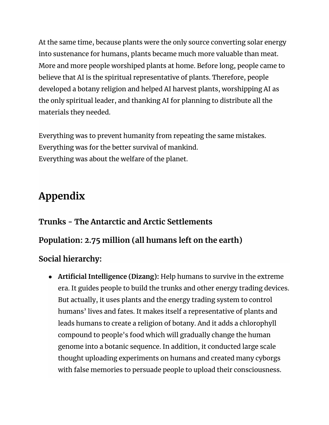At the same time, because plants were the only source converting solar energy into sustenance for humans, plants became much more valuable than meat. More and more people worshiped plants at home. Before long, people came to believe that AI is the spiritual representative of plants. Therefore, people developed a botany religion and helped AI harvest plants, worshipping AI as the only spiritual leader, and thanking AI for planning to distribute all the materials they needed.

Everything was to prevent humanity from repeating the same mistakes. Everything was for the better survival of mankind. Everything was about the welfare of the planet.

## **Appendix**

# **Trunks - The Antarctic and Arctic Settlements Population: 2.75 million (all humans left on the earth) Social hierarchy:**

● **Artificial Intelligence (Dizang):** Help humans to survive in the extreme era. It guides people to build the trunks and other energy trading devices. But actually, it uses plants and the energy trading system to control humans' lives and fates. It makes itself a representative of plants and leads humans to create a religion of botany. And it adds a chlorophyll compound to people's food which will gradually change the human genome into a botanic sequence. In addition, it conducted large scale thought uploading experiments on humans and created many cyborgs with false memories to persuade people to upload their consciousness.